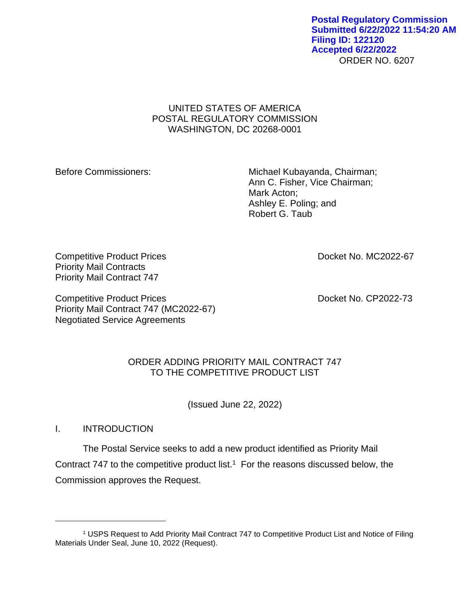ORDER NO. 6207 **Postal Regulatory Commission Submitted 6/22/2022 11:54:20 AM Filing ID: 122120 Accepted 6/22/2022**

# UNITED STATES OF AMERICA POSTAL REGULATORY COMMISSION WASHINGTON, DC 20268-0001

Before Commissioners: Michael Kubayanda, Chairman; Ann C. Fisher, Vice Chairman; Mark Acton; Ashley E. Poling; and Robert G. Taub

Competitive Product Prices **Docket No. MC2022-67** Priority Mail Contracts Priority Mail Contract 747

Competitive Product Prices **Docket No. CP2022-73** Priority Mail Contract 747 (MC2022-67) Negotiated Service Agreements

# ORDER ADDING PRIORITY MAIL CONTRACT 747 TO THE COMPETITIVE PRODUCT LIST

(Issued June 22, 2022)

I. INTRODUCTION

The Postal Service seeks to add a new product identified as Priority Mail Contract 747 to the competitive product list.<sup>1</sup> For the reasons discussed below, the Commission approves the Request.

<sup>1</sup> USPS Request to Add Priority Mail Contract 747 to Competitive Product List and Notice of Filing Materials Under Seal, June 10, 2022 (Request).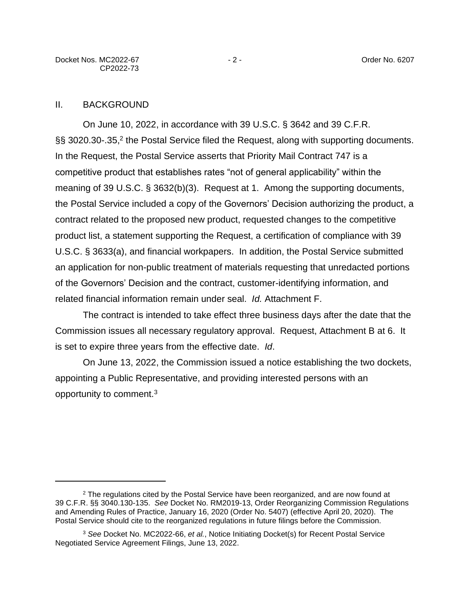## II. BACKGROUND

On June 10, 2022, in accordance with 39 U.S.C. § 3642 and 39 C.F.R. §§ 3020.30-.35,<sup>2</sup> the Postal Service filed the Request, along with supporting documents. In the Request, the Postal Service asserts that Priority Mail Contract 747 is a competitive product that establishes rates "not of general applicability" within the meaning of 39 U.S.C. § 3632(b)(3). Request at 1. Among the supporting documents, the Postal Service included a copy of the Governors' Decision authorizing the product, a contract related to the proposed new product, requested changes to the competitive product list, a statement supporting the Request, a certification of compliance with 39 U.S.C. § 3633(a), and financial workpapers. In addition, the Postal Service submitted an application for non-public treatment of materials requesting that unredacted portions of the Governors' Decision and the contract, customer-identifying information, and related financial information remain under seal. *Id.* Attachment F.

The contract is intended to take effect three business days after the date that the Commission issues all necessary regulatory approval. Request, Attachment B at 6. It is set to expire three years from the effective date. *Id*.

On June 13, 2022, the Commission issued a notice establishing the two dockets, appointing a Public Representative, and providing interested persons with an opportunity to comment.<sup>3</sup>

<sup>&</sup>lt;sup>2</sup> The regulations cited by the Postal Service have been reorganized, and are now found at 39 C.F.R. §§ 3040.130-135. *See* Docket No. RM2019-13, Order Reorganizing Commission Regulations and Amending Rules of Practice, January 16, 2020 (Order No. 5407) (effective April 20, 2020). The Postal Service should cite to the reorganized regulations in future filings before the Commission.

<sup>3</sup> *See* Docket No. MC2022-66, *et al.*, Notice Initiating Docket(s) for Recent Postal Service Negotiated Service Agreement Filings, June 13, 2022.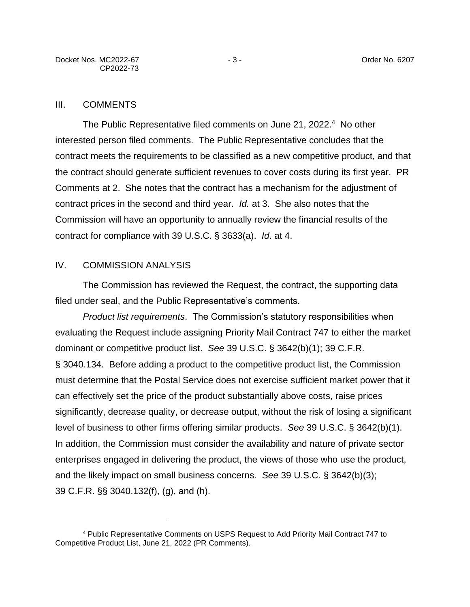### III. COMMENTS

The Public Representative filed comments on June 21, 2022.<sup>4</sup> No other interested person filed comments. The Public Representative concludes that the contract meets the requirements to be classified as a new competitive product, and that the contract should generate sufficient revenues to cover costs during its first year. PR Comments at 2. She notes that the contract has a mechanism for the adjustment of contract prices in the second and third year. *Id.* at 3. She also notes that the Commission will have an opportunity to annually review the financial results of the contract for compliance with 39 U.S.C. § 3633(a). *Id*. at 4.

### IV. COMMISSION ANALYSIS

The Commission has reviewed the Request, the contract, the supporting data filed under seal, and the Public Representative's comments.

*Product list requirements*. The Commission's statutory responsibilities when evaluating the Request include assigning Priority Mail Contract 747 to either the market dominant or competitive product list. *See* 39 U.S.C. § 3642(b)(1); 39 C.F.R. § 3040.134. Before adding a product to the competitive product list, the Commission must determine that the Postal Service does not exercise sufficient market power that it can effectively set the price of the product substantially above costs, raise prices significantly, decrease quality, or decrease output, without the risk of losing a significant level of business to other firms offering similar products. *See* 39 U.S.C. § 3642(b)(1). In addition, the Commission must consider the availability and nature of private sector enterprises engaged in delivering the product, the views of those who use the product, and the likely impact on small business concerns. *See* 39 U.S.C. § 3642(b)(3); 39 C.F.R. §§ 3040.132(f), (g), and (h).

<sup>4</sup> Public Representative Comments on USPS Request to Add Priority Mail Contract 747 to Competitive Product List, June 21, 2022 (PR Comments).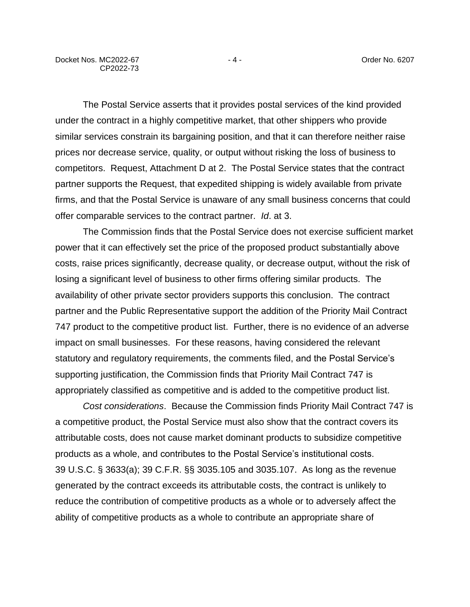The Postal Service asserts that it provides postal services of the kind provided under the contract in a highly competitive market, that other shippers who provide similar services constrain its bargaining position, and that it can therefore neither raise prices nor decrease service, quality, or output without risking the loss of business to competitors. Request, Attachment D at 2. The Postal Service states that the contract partner supports the Request, that expedited shipping is widely available from private firms, and that the Postal Service is unaware of any small business concerns that could offer comparable services to the contract partner. *Id*. at 3.

The Commission finds that the Postal Service does not exercise sufficient market power that it can effectively set the price of the proposed product substantially above costs, raise prices significantly, decrease quality, or decrease output, without the risk of losing a significant level of business to other firms offering similar products. The availability of other private sector providers supports this conclusion. The contract partner and the Public Representative support the addition of the Priority Mail Contract 747 product to the competitive product list. Further, there is no evidence of an adverse impact on small businesses. For these reasons, having considered the relevant statutory and regulatory requirements, the comments filed, and the Postal Service's supporting justification, the Commission finds that Priority Mail Contract 747 is appropriately classified as competitive and is added to the competitive product list.

*Cost considerations*. Because the Commission finds Priority Mail Contract 747 is a competitive product, the Postal Service must also show that the contract covers its attributable costs, does not cause market dominant products to subsidize competitive products as a whole, and contributes to the Postal Service's institutional costs. 39 U.S.C. § 3633(a); 39 C.F.R. §§ 3035.105 and 3035.107. As long as the revenue generated by the contract exceeds its attributable costs, the contract is unlikely to reduce the contribution of competitive products as a whole or to adversely affect the ability of competitive products as a whole to contribute an appropriate share of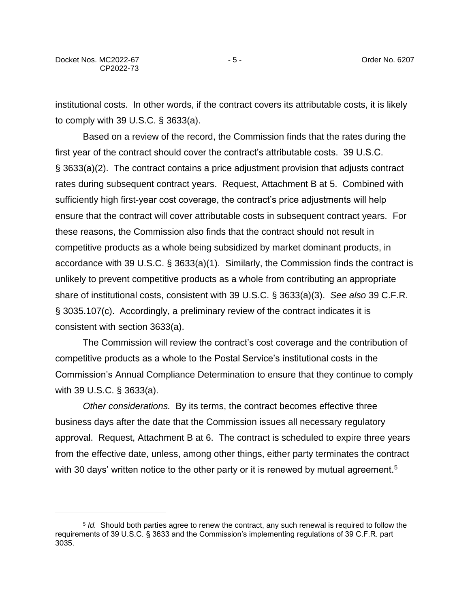institutional costs. In other words, if the contract covers its attributable costs, it is likely to comply with 39 U.S.C. § 3633(a).

Based on a review of the record, the Commission finds that the rates during the first year of the contract should cover the contract's attributable costs. 39 U.S.C. § 3633(a)(2). The contract contains a price adjustment provision that adjusts contract rates during subsequent contract years. Request, Attachment B at 5. Combined with sufficiently high first-year cost coverage, the contract's price adjustments will help ensure that the contract will cover attributable costs in subsequent contract years. For these reasons, the Commission also finds that the contract should not result in competitive products as a whole being subsidized by market dominant products, in accordance with 39 U.S.C. § 3633(a)(1). Similarly, the Commission finds the contract is unlikely to prevent competitive products as a whole from contributing an appropriate share of institutional costs, consistent with 39 U.S.C. § 3633(a)(3). *See also* 39 C.F.R. § 3035.107(c). Accordingly, a preliminary review of the contract indicates it is consistent with section 3633(a).

The Commission will review the contract's cost coverage and the contribution of competitive products as a whole to the Postal Service's institutional costs in the Commission's Annual Compliance Determination to ensure that they continue to comply with 39 U.S.C. § 3633(a).

*Other considerations.* By its terms, the contract becomes effective three business days after the date that the Commission issues all necessary regulatory approval. Request, Attachment B at 6. The contract is scheduled to expire three years from the effective date, unless, among other things, either party terminates the contract with 30 days' written notice to the other party or it is renewed by mutual agreement.<sup>5</sup>

<sup>5</sup> *Id.* Should both parties agree to renew the contract, any such renewal is required to follow the requirements of 39 U.S.C. § 3633 and the Commission's implementing regulations of 39 C.F.R. part 3035.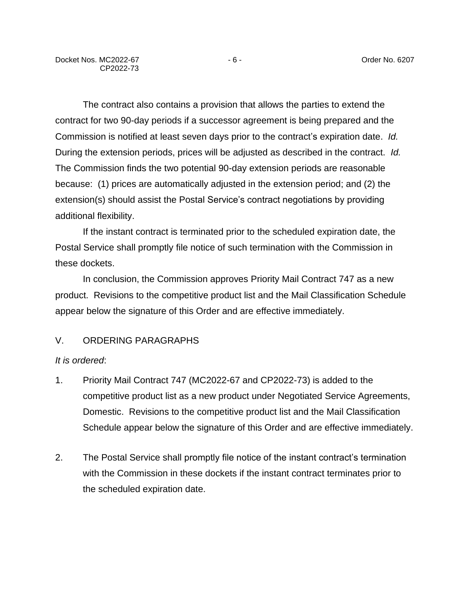The contract also contains a provision that allows the parties to extend the contract for two 90-day periods if a successor agreement is being prepared and the Commission is notified at least seven days prior to the contract's expiration date. *Id.* During the extension periods, prices will be adjusted as described in the contract. *Id.* The Commission finds the two potential 90-day extension periods are reasonable because: (1) prices are automatically adjusted in the extension period; and (2) the extension(s) should assist the Postal Service's contract negotiations by providing additional flexibility.

If the instant contract is terminated prior to the scheduled expiration date, the Postal Service shall promptly file notice of such termination with the Commission in these dockets.

In conclusion, the Commission approves Priority Mail Contract 747 as a new product. Revisions to the competitive product list and the Mail Classification Schedule appear below the signature of this Order and are effective immediately.

### V. ORDERING PARAGRAPHS

### *It is ordered*:

- 1. Priority Mail Contract 747 (MC2022-67 and CP2022-73) is added to the competitive product list as a new product under Negotiated Service Agreements, Domestic. Revisions to the competitive product list and the Mail Classification Schedule appear below the signature of this Order and are effective immediately.
- 2. The Postal Service shall promptly file notice of the instant contract's termination with the Commission in these dockets if the instant contract terminates prior to the scheduled expiration date.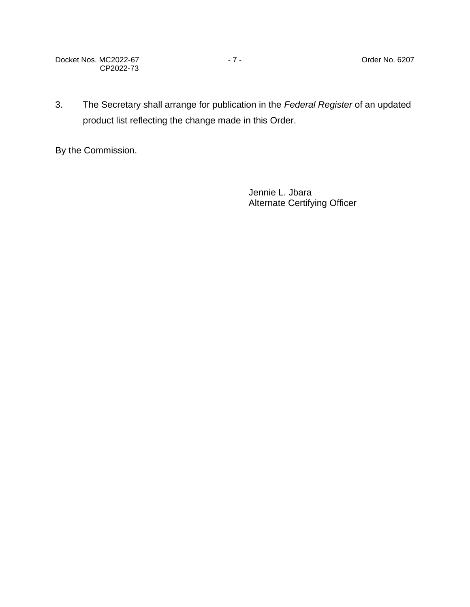Docket Nos. MC2022-67 - 7 - 7 - The Contract Order No. 6207 CP2022-73

3. The Secretary shall arrange for publication in the *Federal Register* of an updated product list reflecting the change made in this Order.

By the Commission.

Jennie L. Jbara Alternate Certifying Officer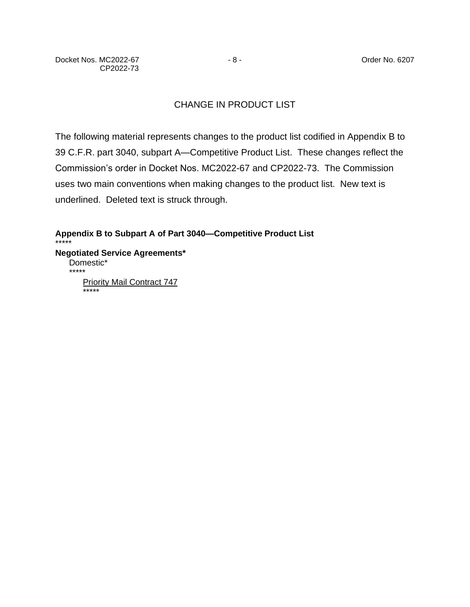# CHANGE IN PRODUCT LIST

The following material represents changes to the product list codified in Appendix B to 39 C.F.R. part 3040, subpart A—Competitive Product List. These changes reflect the Commission's order in Docket Nos. MC2022-67 and CP2022-73. The Commission uses two main conventions when making changes to the product list. New text is underlined. Deleted text is struck through.

**Appendix B to Subpart A of Part 3040—Competitive Product List** \*\*\*\*\* **Negotiated Service Agreements\*** Domestic\* \*\*\*\*\* **Priority Mail Contract 747** \*\*\*\*\*